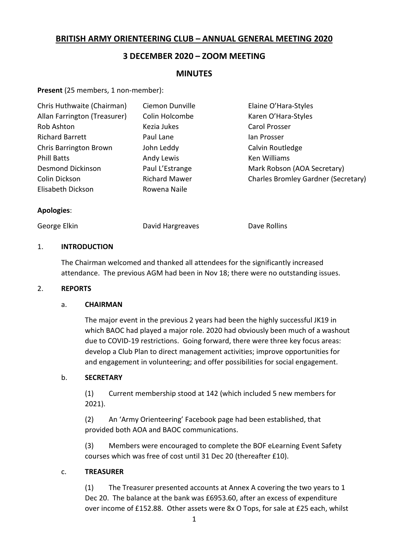# **BRITISH ARMY ORIENTEERING CLUB – ANNUAL GENERAL MEETING 2020**

# **3 DECEMBER 2020 – ZOOM MEETING**

# **MINUTES**

Present (25 members, 1 non-member):

| Chris Huthwaite (Chairman)   | Ciemon Dunville      | Elaine O'Hara-Styles                |
|------------------------------|----------------------|-------------------------------------|
| Allan Farrington (Treasurer) | Colin Holcombe       | Karen O'Hara-Styles                 |
| Rob Ashton                   | Kezia Jukes          | Carol Prosser                       |
| <b>Richard Barrett</b>       | Paul Lane            | lan Prosser                         |
| Chris Barrington Brown       | John Leddy           | Calvin Routledge                    |
| <b>Phill Batts</b>           | Andy Lewis           | Ken Williams                        |
| <b>Desmond Dickinson</b>     | Paul L'Estrange      | Mark Robson (AOA Secretary)         |
| Colin Dickson                | <b>Richard Mawer</b> | Charles Bromley Gardner (Secretary) |
| Elisabeth Dickson            | Rowena Naile         |                                     |

#### **Apologies**:

George Elkin **Communist Clargreaves** Constants Dave Rollins

#### 1. **INTRODUCTION**

The Chairman welcomed and thanked all attendees for the significantly increased attendance. The previous AGM had been in Nov 18; there were no outstanding issues.

#### 2. **REPORTS**

#### a. **CHAIRMAN**

The major event in the previous 2 years had been the highly successful JK19 in which BAOC had played a major role. 2020 had obviously been much of a washout due to COVID-19 restrictions. Going forward, there were three key focus areas: develop a Club Plan to direct management activities; improve opportunities for and engagement in volunteering; and offer possibilities for social engagement.

#### b. **SECRETARY**

(1) Current membership stood at 142 (which included 5 new members for 2021).

(2) An 'Army Orienteering' Facebook page had been established, that provided both AOA and BAOC communications.

(3) Members were encouraged to complete the BOF eLearning Event Safety courses which was free of cost until 31 Dec 20 (thereafter £10).

#### c. **TREASURER**

(1) The Treasurer presented accounts at Annex A covering the two years to 1 Dec 20. The balance at the bank was £6953.60, after an excess of expenditure over income of £152.88. Other assets were 8x O Tops, for sale at £25 each, whilst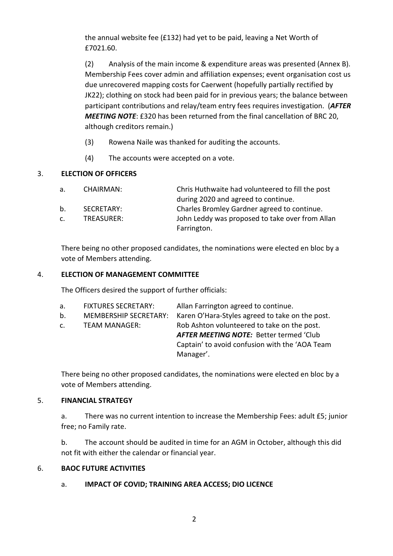the annual website fee (£132) had yet to be paid, leaving a Net Worth of £7021.60.

(2) Analysis of the main income & expenditure areas was presented (Annex B). Membership Fees cover admin and affiliation expenses; event organisation cost us due unrecovered mapping costs for Caerwent (hopefully partially rectified by JK22); clothing on stock had been paid for in previous years; the balance between participant contributions and relay/team entry fees requires investigation. (*AFTER MEETING NOTE*: £320 has been returned from the final cancellation of BRC 20, although creditors remain.)

- (3) Rowena Naile was thanked for auditing the accounts.
- (4) The accounts were accepted on a vote.

# 3. **ELECTION OF OFFICERS**

| a.             | CHAIRMAN:  | Chris Huthwaite had volunteered to fill the post |
|----------------|------------|--------------------------------------------------|
|                |            | during 2020 and agreed to continue.              |
| $b_{-}$        | SECRETARY: | Charles Bromley Gardner agreed to continue.      |
| $\mathsf{C}$ . | TREASURER: | John Leddy was proposed to take over from Allan  |
|                |            | Farrington.                                      |

There being no other proposed candidates, the nominations were elected en bloc by a vote of Members attending.

## 4. **ELECTION OF MANAGEMENT COMMITTEE**

The Officers desired the support of further officials:

| а. | <b>FIXTURES SECRETARY:</b>   | Allan Farrington agreed to continue.            |
|----|------------------------------|-------------------------------------------------|
| b. | <b>MEMBERSHIP SECRETARY:</b> | Karen O'Hara-Styles agreed to take on the post. |
| c. | TEAM MANAGER:                | Rob Ashton volunteered to take on the post.     |
|    |                              | <b>AFTER MEETING NOTE: Better termed 'Club</b>  |
|    |                              | Captain' to avoid confusion with the 'AOA Team  |
|    |                              | Manager'.                                       |

There being no other proposed candidates, the nominations were elected en bloc by a vote of Members attending.

# 5. **FINANCIAL STRATEGY**

a. There was no current intention to increase the Membership Fees: adult £5; junior free; no Family rate.

b. The account should be audited in time for an AGM in October, although this did not fit with either the calendar or financial year.

# 6. **BAOC FUTURE ACTIVITIES**

# a. **IMPACT OF COVID; TRAINING AREA ACCESS; DIO LICENCE**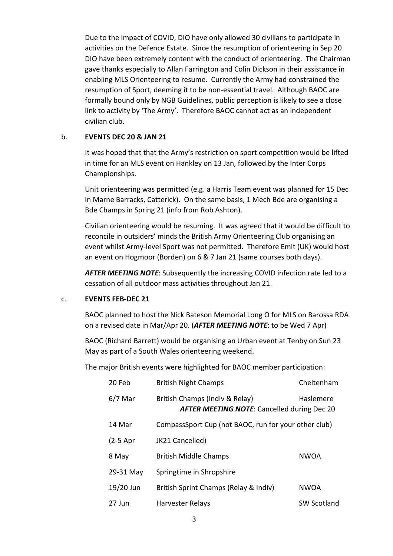Due to the impact of COVID, DIO have only allowed 30 civilians to participate in activities on the Defence Estate. Since the resumption of orienteering in Sep 20 DIO have been extremely content with the conduct of orienteering. The Chairman gave thanks especially to Allan Farrington and Colin Dickson in their assistance in enabling MLS Orienteering to resume. Currently the Army had constrained the resumption of Sport, deeming it to be non-essential travel. Although BAOC are formally bound only by NGB Guidelines, public perception is likely to see a close link to activity by 'The Army'. Therefore BAOC cannot act as an independent civilian club.

#### b. **EVENTS DEC 20 & JAN 21**

It was hoped that that the Army's restriction on sport competition would be lifted in time for an MLS event on Hankley on 13 Jan, followed by the Inter Corps Championships.

Unit orienteering was permitted (e.g. a Harris Team event was planned for 15 Dec in Marne Barracks, Catterick). On the same basis, 1 Mech Bde are organising a Bde Champs in Spring 21 (info from Rob Ashton).

Civilian orienteering would be resuming. It was agreed that it would be difficult to reconcile in outsiders' minds the British Army Orienteering Club organising an event whilst Army-level Sport was not permitted. Therefore Emit (UK) would host an event on Hogmoor (Borden) on 6 & 7 Jan 21 (same courses both days).

*AFTER MEETING NOTE*: Subsequently the increasing COVID infection rate led to a cessation of all outdoor mass activities throughout Jan 21.

#### c. **EVENTS FEB-DEC 21**

BAOC planned to host the Nick Bateson Memorial Long O for MLS on Barossa RDA on a revised date in Mar/Apr 20. (*AFTER MEETING NOTE*: to be Wed 7 Apr)

BAOC (Richard Barrett) would be organising an Urban event at Tenby on Sun 23 May as part of a South Wales orienteering weekend.

The major British events were highlighted for BAOC member participation:

| 20 Feb     | <b>British Night Champs</b>                                                          | Cheltenham         |
|------------|--------------------------------------------------------------------------------------|--------------------|
| $6/7$ Mar  | British Champs (Indiv & Relay)<br><b>AFTER MEETING NOTE: Cancelled during Dec 20</b> | Haslemere          |
| 14 Mar     | CompassSport Cup (not BAOC, run for your other club)                                 |                    |
| $(2-5$ Apr | JK21 Cancelled)                                                                      |                    |
| 8 May      | <b>British Middle Champs</b>                                                         | <b>NWOA</b>        |
| 29-31 May  | Springtime in Shropshire                                                             |                    |
| 19/20 Jun  | British Sprint Champs (Relay & Indiv)                                                | <b>NWOA</b>        |
| 27 Jun     | <b>Harvester Relays</b>                                                              | <b>SW Scotland</b> |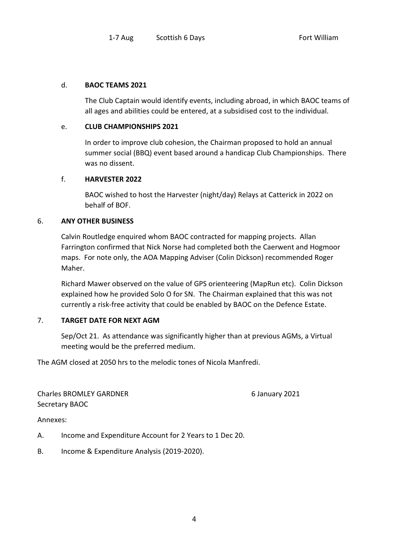#### d. **BAOC TEAMS 2021**

The Club Captain would identify events, including abroad, in which BAOC teams of all ages and abilities could be entered, at a subsidised cost to the individual.

#### e. **CLUB CHAMPIONSHIPS 2021**

In order to improve club cohesion, the Chairman proposed to hold an annual summer social (BBQ) event based around a handicap Club Championships. There was no dissent.

## f. **HARVESTER 2022**

BAOC wished to host the Harvester (night/day) Relays at Catterick in 2022 on behalf of BOF.

#### 6. **ANY OTHER BUSINESS**

Calvin Routledge enquired whom BAOC contracted for mapping projects. Allan Farrington confirmed that Nick Norse had completed both the Caerwent and Hogmoor maps. For note only, the AOA Mapping Adviser (Colin Dickson) recommended Roger Maher.

Richard Mawer observed on the value of GPS orienteering (MapRun etc). Colin Dickson explained how he provided Solo O for SN. The Chairman explained that this was not currently a risk-free activity that could be enabled by BAOC on the Defence Estate.

# 7. **TARGET DATE FOR NEXT AGM**

Sep/Oct 21. As attendance was significantly higher than at previous AGMs, a Virtual meeting would be the preferred medium.

The AGM closed at 2050 hrs to the melodic tones of Nicola Manfredi.

Charles BROMLEY GARDNER 6 January 2021 Secretary BAOC

Annexes:

A. Income and Expenditure Account for 2 Years to 1 Dec 20.

B. Income & Expenditure Analysis (2019-2020).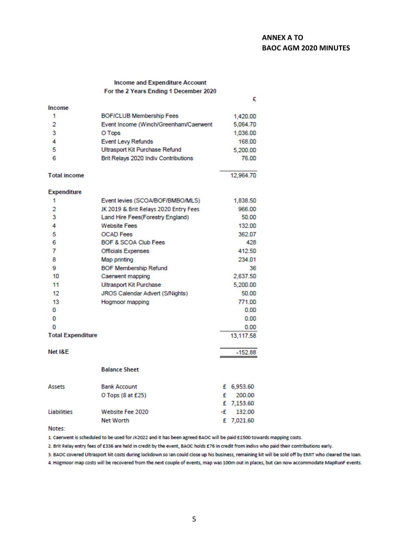# **ANNEX A TO BAOC AGM 2020 MINUTES**

 $\mathbf{a}$ 

#### Income and Expenditure Account For the 2 Years Ending 1 December 2020

|                          |                                       | x.            |
|--------------------------|---------------------------------------|---------------|
| Income                   |                                       |               |
| 1                        | <b>BOF/CLUB Membership Fees</b>       | 1,420.00      |
| $\overline{2}$           | Event Income (Winch/Greenham/Caerwent | 5,064.70      |
| 3                        | O Tops                                | 1,036.00      |
| 4                        | <b>Event Levy Refunds</b>             | 168,00        |
| 5                        | Ultrasport Kit Purchase Refund        | 5,200.00      |
| 6                        | Brit Relays 2020 Indiv Contributions  | 76.00         |
| <b>Total income</b>      |                                       | 12,964.70     |
| <b>Expenditure</b>       |                                       |               |
| 1                        | Event levies (SCOA/BOF/BMBO/MLS)      | 1,838.50      |
| 2                        | JK 2019 & Brit Relays 2020 Entry Fees | 966.00        |
| 3                        | Land Hire Fees(Forestry England)      | 50.00         |
| 4                        | <b>Website Fees</b>                   | 132.00        |
| 5                        | <b>OCAD</b> Fees                      | 362.07        |
| 6                        | BOF & SCOA Club Fees                  | 428           |
| 7                        | Officials Expenses                    | 412.50        |
| 8                        | Map printing                          | 234.01        |
| 9                        | <b>BOF Membership Refund</b>          | 36            |
| 10                       | Caerwent mapping                      | 2,637.50      |
| 11                       | Ultrasport Kit Purchase               | 5,200.00      |
| 12                       | JROS Calendar Advert (S/Nights)       | 50.00         |
| 13                       | Hogmoor mapping                       | 771.00        |
| 0                        |                                       | 0.00          |
| 0                        |                                       | 0.00          |
| o                        |                                       | 0.00          |
| <b>Total Expenditure</b> |                                       | 13,117.58     |
| Net I&E                  |                                       | $-152.88$     |
|                          | <b>Balance Sheet</b>                  |               |
|                          |                                       |               |
| Assets                   | <b>Bank Account</b>                   | £ 6,953.60    |
|                          | O Tops (8 at £25)                     | £<br>200.00   |
|                          |                                       | £ 7,153.60    |
| Liabilities              | <b>Website Fee 2020</b>               | -£<br>132.00  |
|                          | <b>Net Worth</b>                      | £<br>7,021.60 |

Notes:

1. Caerwent is scheduled to be used for JK2022 and it has been agreed BAOC will be paid £1500 towards mapping costs.

2. Brit Relay entry fees of £336 are held in credit by the event, BAOC holds £76 in credit from indivs who paid their contributions early.

3. BAOC covered Ultrasport kit costs during lockdown so Ian could close up his business, remaining kit will be sold off by EMIT who cleared the loan.

4. Hogmoor map costs will be recovered from the next couple of events, map was 100m out in places, but can now accommodate MapRunF events.